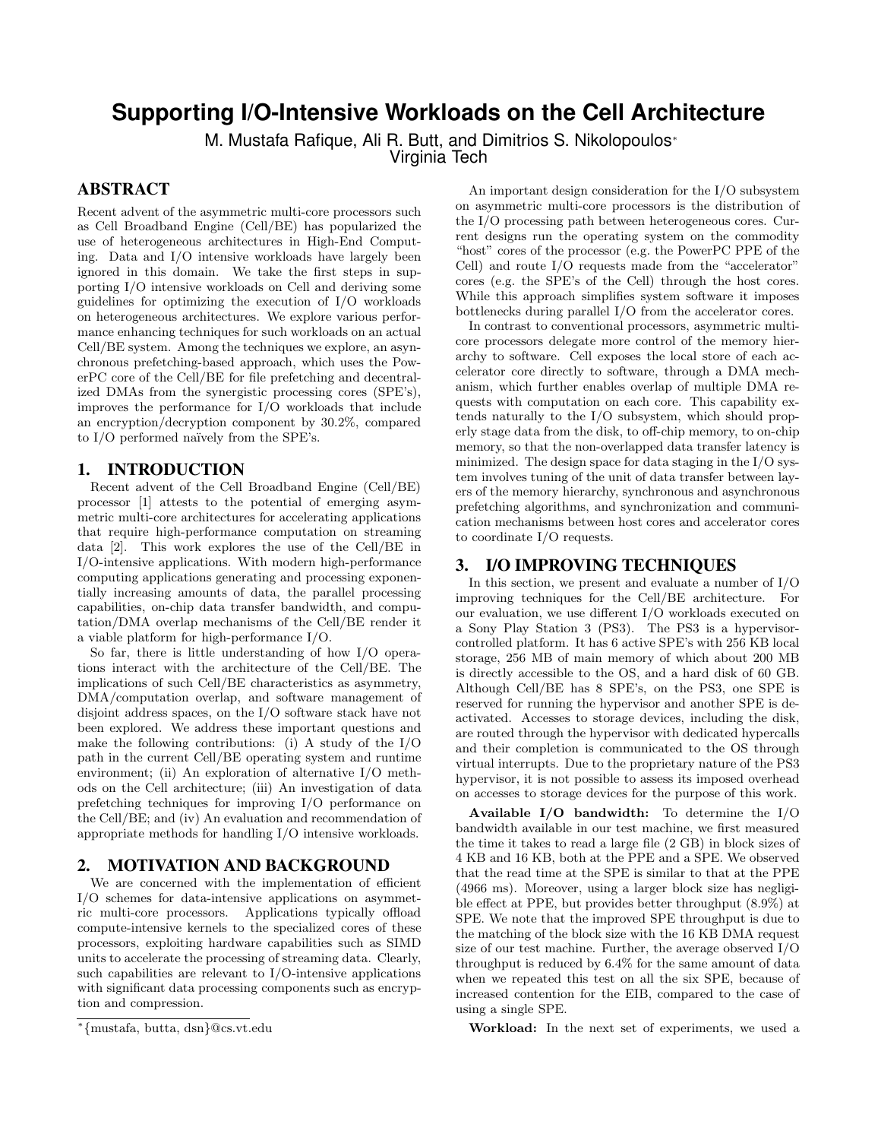# **Supporting I/O-Intensive Workloads on the Cell Architecture**

M. Mustafa Rafique, Ali R. Butt, and Dimitrios S. Nikolopoulos<sup>®</sup>

Virginia Tech

## **ABSTRACT**

Recent advent of the asymmetric multi-core processors such as Cell Broadband Engine (Cell/BE) has popularized the use of heterogeneous architectures in High-End Computing. Data and I/O intensive workloads have largely been ignored in this domain. We take the first steps in supporting I/O intensive workloads on Cell and deriving some guidelines for optimizing the execution of I/O workloads on heterogeneous architectures. We explore various performance enhancing techniques for such workloads on an actual Cell/BE system. Among the techniques we explore, an asynchronous prefetching-based approach, which uses the PowerPC core of the Cell/BE for file prefetching and decentralized DMAs from the synergistic processing cores (SPE's), improves the performance for I/O workloads that include an encryption/decryption component by 30.2%, compared to  $I/O$  performed naïvely from the SPE's.

#### **1. INTRODUCTION**

Recent advent of the Cell Broadband Engine (Cell/BE) processor [1] attests to the potential of emerging asymmetric multi-core architectures for accelerating applications that require high-performance computation on streaming data [2]. This work explores the use of the Cell/BE in I/O-intensive applications. With modern high-performance computing applications generating and processing exponentially increasing amounts of data, the parallel processing capabilities, on-chip data transfer bandwidth, and computation/DMA overlap mechanisms of the Cell/BE render it a viable platform for high-performance I/O.

So far, there is little understanding of how I/O operations interact with the architecture of the Cell/BE. The implications of such Cell/BE characteristics as asymmetry, DMA/computation overlap, and software management of disjoint address spaces, on the I/O software stack have not been explored. We address these important questions and make the following contributions: (i) A study of the I/O path in the current Cell/BE operating system and runtime environment; (ii) An exploration of alternative I/O methods on the Cell architecture; (iii) An investigation of data prefetching techniques for improving I/O performance on the Cell/BE; and (iv) An evaluation and recommendation of appropriate methods for handling I/O intensive workloads.

#### **2. MOTIVATION AND BACKGROUND**

We are concerned with the implementation of efficient I/O schemes for data-intensive applications on asymmetric multi-core processors. Applications typically offload compute-intensive kernels to the specialized cores of these processors, exploiting hardware capabilities such as SIMD units to accelerate the processing of streaming data. Clearly, such capabilities are relevant to I/O-intensive applications with significant data processing components such as encryption and compression.

An important design consideration for the I/O subsystem on asymmetric multi-core processors is the distribution of the I/O processing path between heterogeneous cores. Current designs run the operating system on the commodity "host" cores of the processor (e.g. the PowerPC PPE of the Cell) and route I/O requests made from the "accelerator" cores (e.g. the SPE's of the Cell) through the host cores. While this approach simplifies system software it imposes bottlenecks during parallel I/O from the accelerator cores.

In contrast to conventional processors, asymmetric multicore processors delegate more control of the memory hierarchy to software. Cell exposes the local store of each accelerator core directly to software, through a DMA mechanism, which further enables overlap of multiple DMA requests with computation on each core. This capability extends naturally to the I/O subsystem, which should properly stage data from the disk, to off-chip memory, to on-chip memory, so that the non-overlapped data transfer latency is minimized. The design space for data staging in the  $I/O$  system involves tuning of the unit of data transfer between layers of the memory hierarchy, synchronous and asynchronous prefetching algorithms, and synchronization and communication mechanisms between host cores and accelerator cores to coordinate I/O requests.

### **3. I/O IMPROVING TECHNIQUES**

In this section, we present and evaluate a number of I/O improving techniques for the Cell/BE architecture. For our evaluation, we use different I/O workloads executed on a Sony Play Station 3 (PS3). The PS3 is a hypervisorcontrolled platform. It has 6 active SPE's with 256 KB local storage, 256 MB of main memory of which about 200 MB is directly accessible to the OS, and a hard disk of 60 GB. Although Cell/BE has 8 SPE's, on the PS3, one SPE is reserved for running the hypervisor and another SPE is deactivated. Accesses to storage devices, including the disk, are routed through the hypervisor with dedicated hypercalls and their completion is communicated to the OS through virtual interrupts. Due to the proprietary nature of the PS3 hypervisor, it is not possible to assess its imposed overhead on accesses to storage devices for the purpose of this work.

Available I/O bandwidth: To determine the I/O bandwidth available in our test machine, we first measured the time it takes to read a large file (2 GB) in block sizes of 4 KB and 16 KB, both at the PPE and a SPE. We observed that the read time at the SPE is similar to that at the PPE (4966 ms). Moreover, using a larger block size has negligible effect at PPE, but provides better throughput (8.9%) at SPE. We note that the improved SPE throughput is due to the matching of the block size with the 16 KB DMA request size of our test machine. Further, the average observed I/O throughput is reduced by 6.4% for the same amount of data when we repeated this test on all the six SPE, because of increased contention for the EIB, compared to the case of using a single SPE.

Workload: In the next set of experiments, we used a

<sup>∗</sup> {mustafa, butta, dsn}@cs.vt.edu